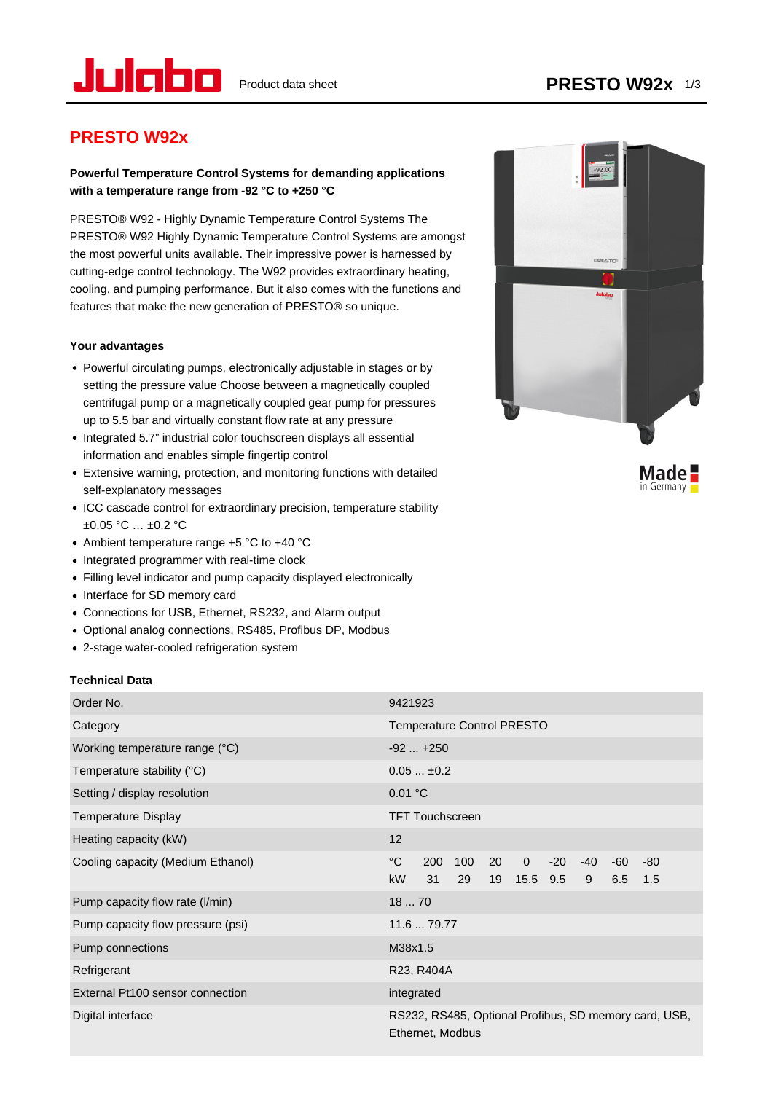

## **PRESTO W92x**

## **Powerful Temperature Control Systems for demanding applications with a temperature range from -92 °C to +250 °C**

PRESTO® W92 - Highly Dynamic Temperature Control Systems The PRESTO® W92 Highly Dynamic Temperature Control Systems are amongst the most powerful units available. Their impressive power is harnessed by cutting-edge control technology. The W92 provides extraordinary heating, cooling, and pumping performance. But it also comes with the functions and features that make the new generation of PRESTO® so unique.

### **Your advantages**

- Powerful circulating pumps, electronically adjustable in stages or by setting the pressure value Choose between a magnetically coupled centrifugal pump or a magnetically coupled gear pump for pressures up to 5.5 bar and virtually constant flow rate at any pressure
- Integrated 5.7" industrial color touchscreen displays all essential information and enables simple fingertip control
- Extensive warning, protection, and monitoring functions with detailed self-explanatory messages
- ICC cascade control for extraordinary precision, temperature stability  $±0.05 °C ... ±0.2 °C$
- Ambient temperature range +5 °C to +40 °C
- Integrated programmer with real-time clock
- Filling level indicator and pump capacity displayed electronically
- Interface for SD memory card
- Connections for USB, Ethernet, RS232, and Alarm output
- Optional analog connections, RS485, Profibus DP, Modbus
- 2-stage water-cooled refrigeration system

### **Technical Data**

| Order No.                         | 9421923                                                                                                                                        |  |  |
|-----------------------------------|------------------------------------------------------------------------------------------------------------------------------------------------|--|--|
| Category                          | <b>Temperature Control PRESTO</b>                                                                                                              |  |  |
| Working temperature range (°C)    | $-92+250$                                                                                                                                      |  |  |
| Temperature stability $(°C)$      | $0.05 \pm 0.2$                                                                                                                                 |  |  |
| Setting / display resolution      | 0.01 °C                                                                                                                                        |  |  |
| Temperature Display               | <b>TFT Touchscreen</b>                                                                                                                         |  |  |
| Heating capacity (kW)             | 12                                                                                                                                             |  |  |
| Cooling capacity (Medium Ethanol) | $^{\circ}$ C<br>$\mathbf{0}$<br>200<br>100<br>20<br>$-20$<br>$-40$<br>-60<br>-80<br><b>kW</b><br>29<br>19<br>15.5 9.5<br>9<br>31<br>6.5<br>1.5 |  |  |
| Pump capacity flow rate (I/min)   | 1870                                                                                                                                           |  |  |
| Pump capacity flow pressure (psi) | 11.6  79.77                                                                                                                                    |  |  |
| Pump connections                  | M38x1.5                                                                                                                                        |  |  |
| Refrigerant                       | R23, R404A                                                                                                                                     |  |  |
| External Pt100 sensor connection  | integrated                                                                                                                                     |  |  |
| Digital interface                 | RS232, RS485, Optional Profibus, SD memory card, USB,<br>Ethernet, Modbus                                                                      |  |  |



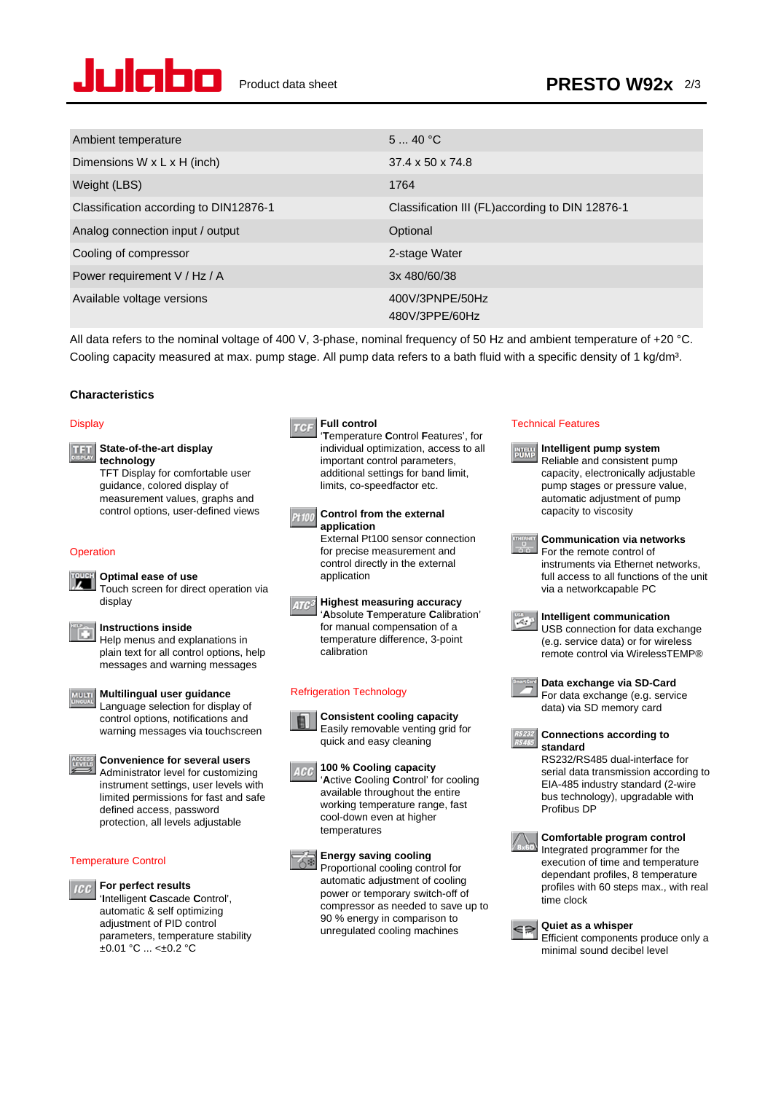

| Ambient temperature                     | 540 °C                                           |
|-----------------------------------------|--------------------------------------------------|
| Dimensions $W \times L \times H$ (inch) | $37.4 \times 50 \times 74.8$                     |
| Weight (LBS)                            | 1764                                             |
| Classification according to DIN12876-1  | Classification III (FL) according to DIN 12876-1 |
| Analog connection input / output        | Optional                                         |
| Cooling of compressor                   | 2-stage Water                                    |
| Power requirement V / Hz / A            | 3x 480/60/38                                     |
| Available voltage versions              | 400V/3PNPE/50Hz<br>480V/3PPE/60Hz                |

All data refers to the nominal voltage of 400 V, 3-phase, nominal frequency of 50 Hz and ambient temperature of +20 °C. Cooling capacity measured at max. pump stage. All pump data refers to a bath fluid with a specific density of 1 kg/dm<sup>3</sup>.

### **Characteristics**

### **Display**

| THE State-of-the-art display |  |
|------------------------------|--|
|                              |  |

**technology** TFT Display for comfortable user guidance, colored display of measurement values, graphs and control options, user-defined views

### **Operation**

#### **Optimal ease of use** Z I Touch screen for direct operation via

display

#### **Instructions inside** ÏО

Help menus and explanations in plain text for all control options, help messages and warning messages

### **Multilingual user guidance**

Language selection for display of control options, notifications and warning messages via touchscreen

### **Convenience for several users** Administrator level for customizing instrument settings, user levels with limited permissions for fast and safe defined access, password protection, all levels adjustable

### Temperature Control

#### **For perfect results** lec

'**I**ntelligent **C**ascade **C**ontrol', automatic & self optimizing adjustment of PID control parameters, temperature stability  $\pm 0.01$  °C ... < $\pm 0.2$  °C

### **Full control**  $T$ ela

'**T**emperature **C**ontrol **F**eatures', for individual optimization, access to all important control parameters, additional settings for band limit, limits, co-speedfactor etc.

#### **Control from the external** Pt 100 **application** External Pt100 sensor connection

for precise measurement and control directly in the external application

**Highest measuring accuracy** '**A**bsolute **T**emperature **C**alibration' for manual compensation of a temperature difference, 3-point calibration

### Refrigeration Technology



Easily removable venting grid for quick and easy cleaning **100 % Cooling capacity**



### **Energy saving cooling**

6※ Proportional cooling control for automatic adjustment of cooling power or temporary switch-off of compressor as needed to save up to 90 % energy in comparison to unregulated cooling machines





Efficient components produce only a minimal sound decibel level